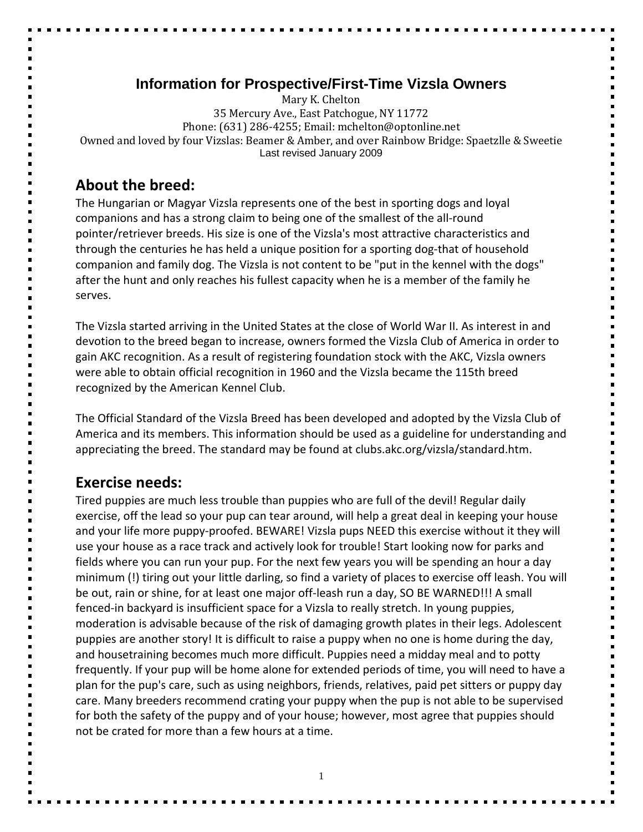# **Information for Prospective/First-Time Vizsla Owners**

Mary K. Chelton 35 Mercury Ave., East Patchogue, NY 11772 Phone: (631) 286-4255; Email: mchelton@optonline.net Owned and loved by four Vizslas: Beamer & Amber, and over Rainbow Bridge: Spaetzlle & Sweetie Last revised January 2009

# **About the breed:**

The Hungarian or Magyar Vizsla represents one of the best in sporting dogs and loyal companions and has a strong claim to being one of the smallest of the all-round pointer/retriever breeds. His size is one of the Vizsla's most attractive characteristics and through the centuries he has held a unique position for a sporting dog-that of household companion and family dog. The Vizsla is not content to be "put in the kennel with the dogs" after the hunt and only reaches his fullest capacity when he is a member of the family he serves.

The Vizsla started arriving in the United States at the close of World War II. As interest in and devotion to the breed began to increase, owners formed the Vizsla Club of America in order to gain AKC recognition. As a result of registering foundation stock with the AKC, Vizsla owners were able to obtain official recognition in 1960 and the Vizsla became the 115th breed recognized by the American Kennel Club.

The Official Standard of the Vizsla Breed has been developed and adopted by the Vizsla Club of America and its members. This information should be used as a guideline for understanding and appreciating the breed. The standard may be found at clubs.akc.org/vizsla/standard.htm.

# **Exercise needs:**

Tired puppies are much less trouble than puppies who are full of the devil! Regular daily exercise, off the lead so your pup can tear around, will help a great deal in keeping your house and your life more puppy-proofed. BEWARE! Vizsla pups NEED this exercise without it they will use your house as a race track and actively look for trouble! Start looking now for parks and fields where you can run your pup. For the next few years you will be spending an hour a day minimum (!) tiring out your little darling, so find a variety of places to exercise off leash. You will be out, rain or shine, for at least one major off-leash run a day, SO BE WARNED!!! A small fenced-in backyard is insufficient space for a Vizsla to really stretch. In young puppies, moderation is advisable because of the risk of damaging growth plates in their legs. Adolescent puppies are another story! It is difficult to raise a puppy when no one is home during the day, and housetraining becomes much more difficult. Puppies need a midday meal and to potty frequently. If your pup will be home alone for extended periods of time, you will need to have a plan for the pup's care, such as using neighbors, friends, relatives, paid pet sitters or puppy day care. Many breeders recommend crating your puppy when the pup is not able to be supervised for both the safety of the puppy and of your house; however, most agree that puppies should not be crated for more than a few hours at a time.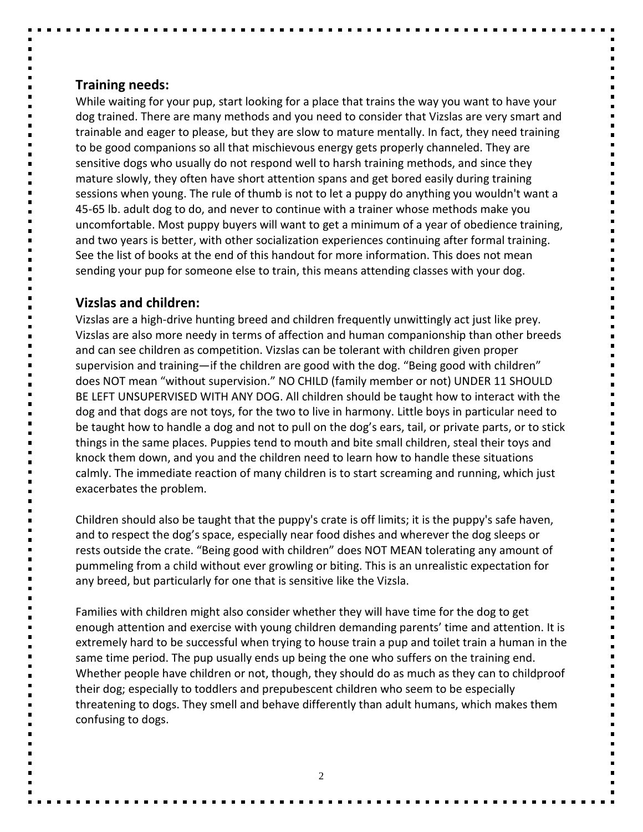### **Training needs:**

While waiting for your pup, start looking for a place that trains the way you want to have your dog trained. There are many methods and you need to consider that Vizslas are very smart and trainable and eager to please, but they are slow to mature mentally. In fact, they need training to be good companions so all that mischievous energy gets properly channeled. They are sensitive dogs who usually do not respond well to harsh training methods, and since they mature slowly, they often have short attention spans and get bored easily during training sessions when young. The rule of thumb is not to let a puppy do anything you wouldn't want a 45-65 lb. adult dog to do, and never to continue with a trainer whose methods make you uncomfortable. Most puppy buyers will want to get a minimum of a year of obedience training, and two years is better, with other socialization experiences continuing after formal training. See the list of books at the end of this handout for more information. This does not mean sending your pup for someone else to train, this means attending classes with your dog.

# **Vizslas and children:**

Vizslas are a high-drive hunting breed and children frequently unwittingly act just like prey. Vizslas are also more needy in terms of affection and human companionship than other breeds and can see children as competition. Vizslas can be tolerant with children given proper supervision and training—if the children are good with the dog. "Being good with children" does NOT mean "without supervision." NO CHILD (family member or not) UNDER 11 SHOULD BE LEFT UNSUPERVISED WITH ANY DOG. All children should be taught how to interact with the dog and that dogs are not toys, for the two to live in harmony. Little boys in particular need to be taught how to handle a dog and not to pull on the dog's ears, tail, or private parts, or to stick things in the same places. Puppies tend to mouth and bite small children, steal their toys and knock them down, and you and the children need to learn how to handle these situations calmly. The immediate reaction of many children is to start screaming and running, which just exacerbates the problem.

Children should also be taught that the puppy's crate is off limits; it is the puppy's safe haven, and to respect the dog's space, especially near food dishes and wherever the dog sleeps or rests outside the crate. "Being good with children" does NOT MEAN tolerating any amount of pummeling from a child without ever growling or biting. This is an unrealistic expectation for any breed, but particularly for one that is sensitive like the Vizsla.

Families with children might also consider whether they will have time for the dog to get enough attention and exercise with young children demanding parents' time and attention. It is extremely hard to be successful when trying to house train a pup and toilet train a human in the same time period. The pup usually ends up being the one who suffers on the training end. Whether people have children or not, though, they should do as much as they can to childproof their dog; especially to toddlers and prepubescent children who seem to be especially threatening to dogs. They smell and behave differently than adult humans, which makes them confusing to dogs.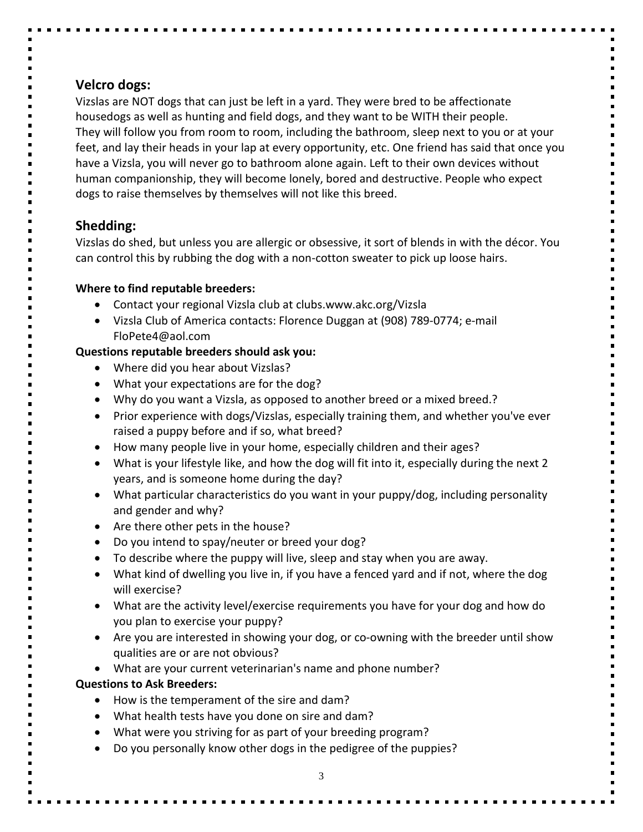# **Velcro dogs:**

Vizslas are NOT dogs that can just be left in a yard. They were bred to be affectionate housedogs as well as hunting and field dogs, and they want to be WITH their people. They will follow you from room to room, including the bathroom, sleep next to you or at your feet, and lay their heads in your lap at every opportunity, etc. One friend has said that once you have a Vizsla, you will never go to bathroom alone again. Left to their own devices without human companionship, they will become lonely, bored and destructive. People who expect dogs to raise themselves by themselves will not like this breed.

# **Shedding:**

Vizslas do shed, but unless you are allergic or obsessive, it sort of blends in with the décor. You can control this by rubbing the dog with a non-cotton sweater to pick up loose hairs.

### **Where to find reputable breeders:**

- Contact your regional Vizsla club at clubs.www.akc.org/Vizsla
- Vizsla Club of America contacts: Florence Duggan at (908) 789-0774; e-mail FloPete4@aol.com

# **Questions reputable breeders should ask you:**

- Where did you hear about Vizslas?
- What your expectations are for the dog?
- Why do you want a Vizsla, as opposed to another breed or a mixed breed.?
- Prior experience with dogs/Vizslas, especially training them, and whether you've ever raised a puppy before and if so, what breed?
- How many people live in your home, especially children and their ages?
- What is your lifestyle like, and how the dog will fit into it, especially during the next 2 years, and is someone home during the day?
- What particular characteristics do you want in your puppy/dog, including personality and gender and why?
- Are there other pets in the house?
- Do you intend to spay/neuter or breed your dog?
- To describe where the puppy will live, sleep and stay when you are away.
- What kind of dwelling you live in, if you have a fenced yard and if not, where the dog will exercise?
- What are the activity level/exercise requirements you have for your dog and how do you plan to exercise your puppy?
- Are you are interested in showing your dog, or co-owning with the breeder until show qualities are or are not obvious?
- What are your current veterinarian's name and phone number?

# **Questions to Ask Breeders:**

- How is the temperament of the sire and dam?
- What health tests have you done on sire and dam?
- What were you striving for as part of your breeding program?
- Do you personally know other dogs in the pedigree of the puppies?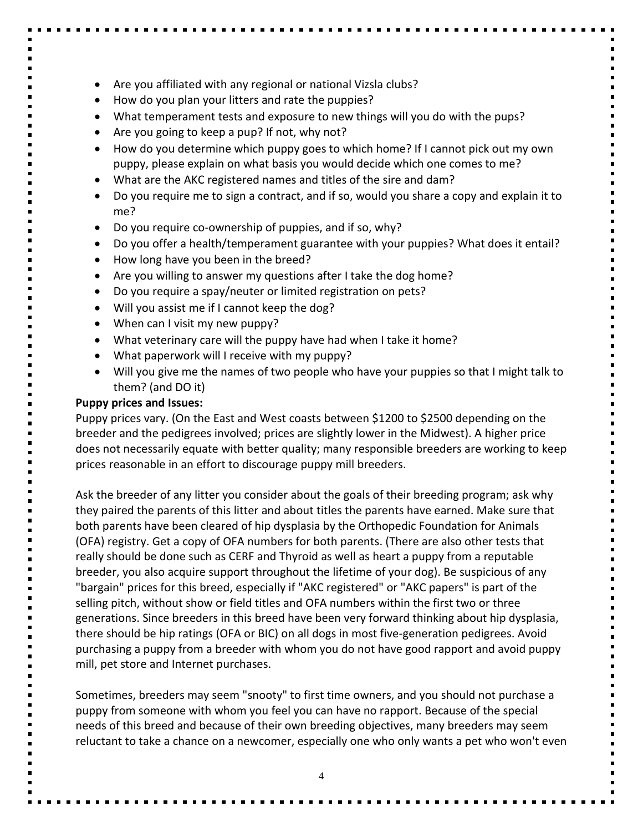- Are you affiliated with any regional or national Vizsla clubs?
- How do you plan your litters and rate the puppies?
- What temperament tests and exposure to new things will you do with the pups?
- Are you going to keep a pup? If not, why not?
- How do you determine which puppy goes to which home? If I cannot pick out my own puppy, please explain on what basis you would decide which one comes to me?
- What are the AKC registered names and titles of the sire and dam?
- Do you require me to sign a contract, and if so, would you share a copy and explain it to me?
- Do you require co-ownership of puppies, and if so, why?
- Do you offer a health/temperament guarantee with your puppies? What does it entail?
- How long have you been in the breed?
- Are you willing to answer my questions after I take the dog home?
- Do you require a spay/neuter or limited registration on pets?
- Will you assist me if I cannot keep the dog?
- When can I visit my new puppy?
- What veterinary care will the puppy have had when I take it home?
- What paperwork will I receive with my puppy?
- Will you give me the names of two people who have your puppies so that I might talk to them? (and DO it)

#### **Puppy prices and Issues:**

Puppy prices vary. (On the East and West coasts between \$1200 to \$2500 depending on the breeder and the pedigrees involved; prices are slightly lower in the Midwest). A higher price does not necessarily equate with better quality; many responsible breeders are working to keep prices reasonable in an effort to discourage puppy mill breeders.

Ask the breeder of any litter you consider about the goals of their breeding program; ask why they paired the parents of this litter and about titles the parents have earned. Make sure that both parents have been cleared of hip dysplasia by the Orthopedic Foundation for Animals (OFA) registry. Get a copy of OFA numbers for both parents. (There are also other tests that really should be done such as CERF and Thyroid as well as heart a puppy from a reputable breeder, you also acquire support throughout the lifetime of your dog). Be suspicious of any "bargain" prices for this breed, especially if "AKC registered" or "AKC papers" is part of the selling pitch, without show or field titles and OFA numbers within the first two or three generations. Since breeders in this breed have been very forward thinking about hip dysplasia, there should be hip ratings (OFA or BIC) on all dogs in most five-generation pedigrees. Avoid purchasing a puppy from a breeder with whom you do not have good rapport and avoid puppy mill, pet store and Internet purchases.

Sometimes, breeders may seem "snooty" to first time owners, and you should not purchase a puppy from someone with whom you feel you can have no rapport. Because of the special needs of this breed and because of their own breeding objectives, many breeders may seem reluctant to take a chance on a newcomer, especially one who only wants a pet who won't even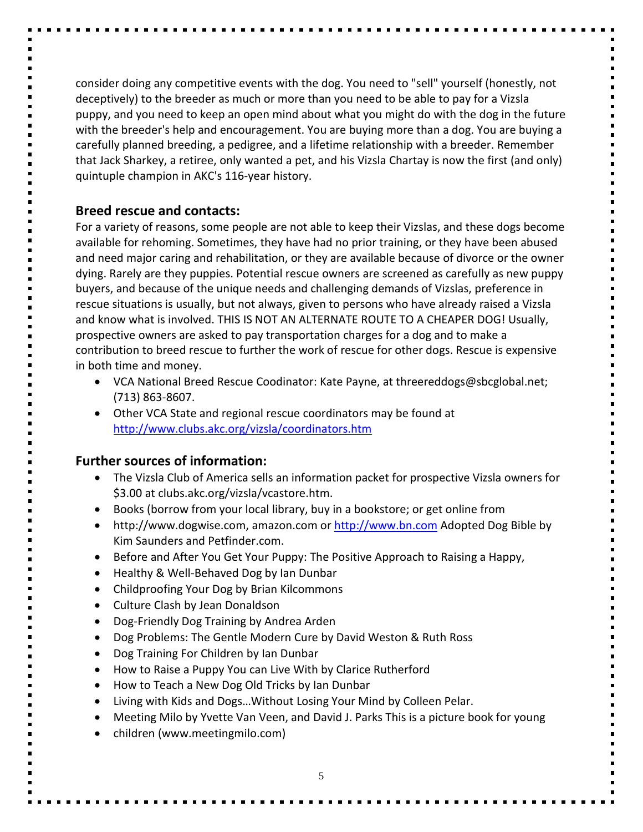consider doing any competitive events with the dog. You need to "sell" yourself (honestly, not deceptively) to the breeder as much or more than you need to be able to pay for a Vizsla puppy, and you need to keep an open mind about what you might do with the dog in the future with the breeder's help and encouragement. You are buying more than a dog. You are buying a carefully planned breeding, a pedigree, and a lifetime relationship with a breeder. Remember that Jack Sharkey, a retiree, only wanted a pet, and his Vizsla Chartay is now the first (and only) quintuple champion in AKC's 116-year history.

#### **Breed rescue and contacts:**

For a variety of reasons, some people are not able to keep their Vizslas, and these dogs become available for rehoming. Sometimes, they have had no prior training, or they have been abused and need major caring and rehabilitation, or they are available because of divorce or the owner dying. Rarely are they puppies. Potential rescue owners are screened as carefully as new puppy buyers, and because of the unique needs and challenging demands of Vizslas, preference in rescue situations is usually, but not always, given to persons who have already raised a Vizsla and know what is involved. THIS IS NOT AN ALTERNATE ROUTE TO A CHEAPER DOG! Usually, prospective owners are asked to pay transportation charges for a dog and to make a contribution to breed rescue to further the work of rescue for other dogs. Rescue is expensive in both time and money.

- VCA National Breed Rescue Coodinator: Kate Payne, at threereddogs@sbcglobal.net; (713) 863-8607.
- Other VCA State and regional rescue coordinators may be found at <http://www.clubs.akc.org/vizsla/coordinators.htm>

# **Further sources of information:**

- The Vizsla Club of America sells an information packet for prospective Vizsla owners for \$3.00 at clubs.akc.org/vizsla/vcastore.htm.
- Books (borrow from your local library, buy in a bookstore; or get online from
- http://www.dogwise.com, amazon.com or [http://www.bn.com](http://www.bn.com/) Adopted Dog Bible by Kim Saunders and Petfinder.com.
- Before and After You Get Your Puppy: The Positive Approach to Raising a Happy,
- Healthy & Well-Behaved Dog by Ian Dunbar
- Childproofing Your Dog by Brian Kilcommons
- Culture Clash by Jean Donaldson
- Dog-Friendly Dog Training by Andrea Arden
- Dog Problems: The Gentle Modern Cure by David Weston & Ruth Ross
- Dog Training For Children by Ian Dunbar
- How to Raise a Puppy You can Live With by Clarice Rutherford
- How to Teach a New Dog Old Tricks by Ian Dunbar
- Living with Kids and Dogs…Without Losing Your Mind by Colleen Pelar.
- Meeting Milo by Yvette Van Veen, and David J. Parks This is a picture book for young
- children (www.meetingmilo.com)